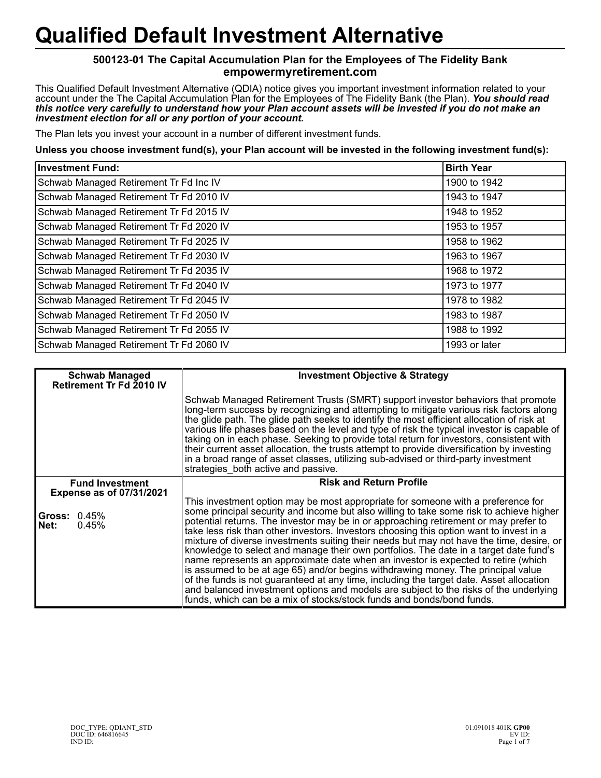## **Qualified Default Investment Alternative**

## **500123-01 The Capital Accumulation Plan for the Employees of The Fidelity Bank empowermyretirement.com**

This Qualified Default Investment Alternative (QDIA) notice gives you important investment information related to your account under the The Capital Accumulation Plan for the Employees of The Fidelity Bank (the Plan). *You should read this notice very carefully to understand how your Plan account assets will be invested if you do not make an investment election for all or any portion of your account.*

The Plan lets you invest your account in a number of different investment funds.

**Unless you choose investment fund(s), your Plan account will be invested in the following investment fund(s):**

| <b>Investment Fund:</b>                 | <b>Birth Year</b> |
|-----------------------------------------|-------------------|
| Schwab Managed Retirement Tr Fd Inc IV  | 1900 to 1942      |
| Schwab Managed Retirement Tr Fd 2010 IV | 1943 to 1947      |
| Schwab Managed Retirement Tr Fd 2015 IV | 1948 to 1952      |
| Schwab Managed Retirement Tr Fd 2020 IV | 1953 to 1957      |
| Schwab Managed Retirement Tr Fd 2025 IV | 1958 to 1962      |
| Schwab Managed Retirement Tr Fd 2030 IV | 1963 to 1967      |
| Schwab Managed Retirement Tr Fd 2035 IV | 1968 to 1972      |
| Schwab Managed Retirement Tr Fd 2040 IV | 1973 to 1977      |
| Schwab Managed Retirement Tr Fd 2045 IV | 1978 to 1982      |
| Schwab Managed Retirement Tr Fd 2050 IV | 1983 to 1987      |
| Schwab Managed Retirement Tr Fd 2055 IV | 1988 to 1992      |
| Schwab Managed Retirement Tr Fd 2060 IV | 1993 or later     |

| <b>Schwab Managed</b><br>Retirement Tr Fd 2010 IV         | <b>Investment Objective &amp; Strategy</b>                                                                                                                                                                                                                                                                                                                                                                                                                                                                                                                                                                                                                                                                                                                                                                                                                                                                                                                                                |
|-----------------------------------------------------------|-------------------------------------------------------------------------------------------------------------------------------------------------------------------------------------------------------------------------------------------------------------------------------------------------------------------------------------------------------------------------------------------------------------------------------------------------------------------------------------------------------------------------------------------------------------------------------------------------------------------------------------------------------------------------------------------------------------------------------------------------------------------------------------------------------------------------------------------------------------------------------------------------------------------------------------------------------------------------------------------|
|                                                           | Schwab Managed Retirement Trusts (SMRT) support investor behaviors that promote<br>long-term success by recognizing and attempting to mitigate various risk factors along<br>the glide path. The glide path seeks to identify the most efficient allocation of risk at<br>various life phases based on the level and type of risk the typical investor is capable of<br>taking on in each phase. Seeking to provide total return for investors, consistent with<br>their current asset allocation, the trusts attempt to provide diversification by investing<br>in a broad range of asset classes, utilizing sub-advised or third-party investment<br>strategies both active and passive.                                                                                                                                                                                                                                                                                                |
| <b>Fund Investment</b><br><b>Expense as of 07/31/2021</b> | <b>Risk and Return Profile</b>                                                                                                                                                                                                                                                                                                                                                                                                                                                                                                                                                                                                                                                                                                                                                                                                                                                                                                                                                            |
| <b>Gross: 0.45%</b><br>Net:<br>0.45%                      | This investment option may be most appropriate for someone with a preference for<br>some principal security and income but also willing to take some risk to achieve higher<br>potential returns. The investor may be in or approaching retirement or may prefer to<br>take less risk than other investors. Investors choosing this option want to invest in a<br>mixture of diverse investments suiting their needs but may not have the time, desire, or<br>knowledge to select and manage their own portfolios. The date in a target date fund's<br>name represents an approximate date when an investor is expected to retire (which<br>is assumed to be at age 65) and/or begins withdrawing money. The principal value<br>of the funds is not guaranteed at any time, including the target date. Asset allocation<br>and balanced investment options and models are subject to the risks of the underlying<br>funds, which can be a mix of stocks/stock funds and bonds/bond funds. |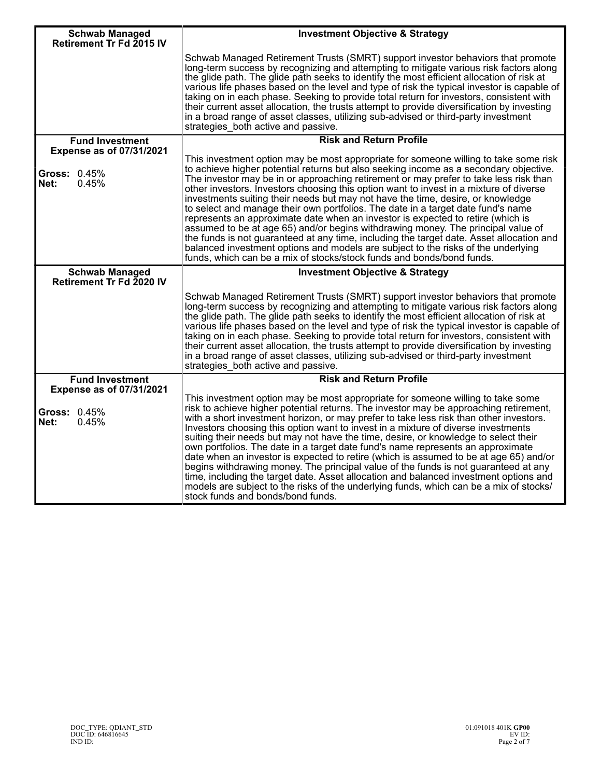| <b>Schwab Managed</b><br><b>Retirement Tr Fd 2015 IV</b>         | <b>Investment Objective &amp; Strategy</b>                                                                                                                                                                                                                                                                                                                                                                                                                                                                                                                                                                                                                                                                                                                                                                                                                                                                                                                               |
|------------------------------------------------------------------|--------------------------------------------------------------------------------------------------------------------------------------------------------------------------------------------------------------------------------------------------------------------------------------------------------------------------------------------------------------------------------------------------------------------------------------------------------------------------------------------------------------------------------------------------------------------------------------------------------------------------------------------------------------------------------------------------------------------------------------------------------------------------------------------------------------------------------------------------------------------------------------------------------------------------------------------------------------------------|
|                                                                  | Schwab Managed Retirement Trusts (SMRT) support investor behaviors that promote<br>long-term success by recognizing and attempting to mitigate various risk factors along<br>the glide path. The glide path seeks to identify the most efficient allocation of risk at<br>various life phases based on the level and type of risk the typical investor is capable of<br>taking on in each phase. Seeking to provide total return for investors, consistent with<br>their current asset allocation, the trusts attempt to provide diversification by investing<br>in a broad range of asset classes, utilizing sub-advised or third-party investment<br>strategies both active and passive.                                                                                                                                                                                                                                                                               |
| <b>Fund Investment</b>                                           | <b>Risk and Return Profile</b>                                                                                                                                                                                                                                                                                                                                                                                                                                                                                                                                                                                                                                                                                                                                                                                                                                                                                                                                           |
| <b>Expense as of 07/31/2021</b>                                  |                                                                                                                                                                                                                                                                                                                                                                                                                                                                                                                                                                                                                                                                                                                                                                                                                                                                                                                                                                          |
| Gross: 0.45%<br>0.45%<br>Net:                                    | This investment option may be most appropriate for someone willing to take some risk<br>to achieve higher potential returns but also seeking income as a secondary objective.<br>The investor may be in or approaching retirement or may prefer to take less risk than<br>other investors. Investors choosing this option want to invest in a mixture of diverse<br>investments suiting their needs but may not have the time, desire, or knowledge<br>to select and manage their own portfolios. The date in a target date fund's name<br>represents an approximate date when an investor is expected to retire (which is<br>assumed to be at age 65) and/or begins withdrawing money. The principal value of<br>the funds is not guaranteed at any time, including the target date. Asset allocation and<br>balanced investment options and models are subject to the risks of the underlying<br>funds, which can be a mix of stocks/stock funds and bonds/bond funds. |
| <b>Schwab Managed</b><br>Retirement Tr Fd 2020 IV                | <b>Investment Objective &amp; Strategy</b>                                                                                                                                                                                                                                                                                                                                                                                                                                                                                                                                                                                                                                                                                                                                                                                                                                                                                                                               |
|                                                                  | Schwab Managed Retirement Trusts (SMRT) support investor behaviors that promote<br>long-term success by recognizing and attempting to mitigate various risk factors along<br>the glide path. The glide path seeks to identify the most efficient allocation of risk at<br>various life phases based on the level and type of risk the typical investor is capable of<br>taking on in each phase. Seeking to provide total return for investors, consistent with<br>their current asset allocation, the trusts attempt to provide diversification by investing<br>in a broad range of asset classes, utilizing sub-advised or third-party investment<br>strategies_both active and passive.                                                                                                                                                                                                                                                                               |
| <b>Fund Investment</b>                                           | <b>Risk and Return Profile</b>                                                                                                                                                                                                                                                                                                                                                                                                                                                                                                                                                                                                                                                                                                                                                                                                                                                                                                                                           |
| <b>Expense as of 07/31/2021</b><br>Gross: 0.45%<br>Net:<br>0.45% | This investment option may be most appropriate for someone willing to take some<br>risk to achieve higher potential returns. The investor may be approaching retirement,<br>with a short investment horizon, or may prefer to take less risk than other investors.<br>Investors choosing this option want to invest in a mixture of diverse investments<br>suiting their needs but may not have the time, desire, or knowledge to select their<br>own portfolios. The date in a target date fund's name represents an approximate<br>date when an investor is expected to retire (which is assumed to be at age 65) and/or<br>begins withdrawing money. The principal value of the funds is not guaranteed at any<br>time, including the target date. Asset allocation and balanced investment options and<br>models are subject to the risks of the underlying funds, which can be a mix of stocks/<br>stock funds and bonds/bond funds.                                |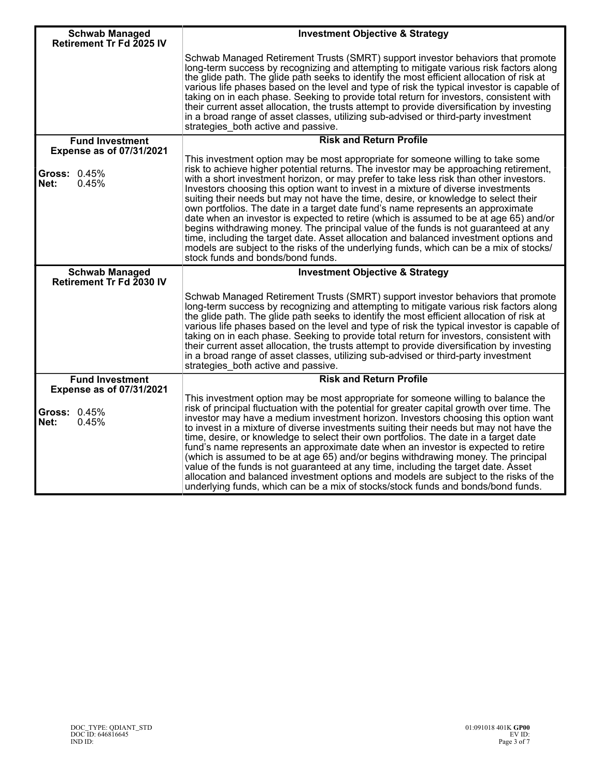| <b>Schwab Managed</b>                                            | <b>Investment Objective &amp; Strategy</b>                                                                                                                                                                                                                                                                                                                                                                                                                                                                                                                                                                                                                                                                                                                                                                                                                                                                                                |
|------------------------------------------------------------------|-------------------------------------------------------------------------------------------------------------------------------------------------------------------------------------------------------------------------------------------------------------------------------------------------------------------------------------------------------------------------------------------------------------------------------------------------------------------------------------------------------------------------------------------------------------------------------------------------------------------------------------------------------------------------------------------------------------------------------------------------------------------------------------------------------------------------------------------------------------------------------------------------------------------------------------------|
| Retirement Tr Fd 2025 IV                                         | Schwab Managed Retirement Trusts (SMRT) support investor behaviors that promote<br>long-term success by recognizing and attempting to mitigate various risk factors along<br>the glide path. The glide path seeks to identify the most efficient allocation of risk at<br>various life phases based on the level and type of risk the typical investor is capable of<br>taking on in each phase. Seeking to provide total return for investors, consistent with<br>their current asset allocation, the trusts attempt to provide diversification by investing<br>in a broad range of asset classes, utilizing sub-advised or third-party investment<br>strategies both active and passive.                                                                                                                                                                                                                                                |
| <b>Fund Investment</b><br><b>Expense as of 07/31/2021</b>        | <b>Risk and Return Profile</b>                                                                                                                                                                                                                                                                                                                                                                                                                                                                                                                                                                                                                                                                                                                                                                                                                                                                                                            |
| Gross: 0.45%<br>Net:<br>0.45%                                    | This investment option may be most appropriate for someone willing to take some<br>risk to achieve higher potential returns. The investor may be approaching retirement,<br>with a short investment horizon, or may prefer to take less risk than other investors.<br>Investors choosing this option want to invest in a mixture of diverse investments<br>suiting their needs but may not have the time, desire, or knowledge to select their<br>own portfolios. The date in a target date fund's name represents an approximate<br>date when an investor is expected to retire (which is assumed to be at age 65) and/or<br>begins withdrawing money. The principal value of the funds is not guaranteed at any<br>time, including the target date. Asset allocation and balanced investment options and<br>models are subject to the risks of the underlying funds, which can be a mix of stocks/<br>stock funds and bonds/bond funds. |
| <b>Schwab Managed</b><br>Retirement Tr Fd 2030 IV                | <b>Investment Objective &amp; Strategy</b>                                                                                                                                                                                                                                                                                                                                                                                                                                                                                                                                                                                                                                                                                                                                                                                                                                                                                                |
|                                                                  | Schwab Managed Retirement Trusts (SMRT) support investor behaviors that promote<br>long-term success by recognizing and attempting to mitigate various risk factors along<br>the glide path. The glide path seeks to identify the most efficient allocation of risk at<br>various life phases based on the level and type of risk the typical investor is capable of<br>taking on in each phase. Seeking to provide total return for investors, consistent with<br>their current asset allocation, the trusts attempt to provide diversification by investing<br>in a broad range of asset classes, utilizing sub-advised or third-party investment<br>strategies_both active and passive.                                                                                                                                                                                                                                                |
| <b>Fund Investment</b>                                           | <b>Risk and Return Profile</b>                                                                                                                                                                                                                                                                                                                                                                                                                                                                                                                                                                                                                                                                                                                                                                                                                                                                                                            |
| <b>Expense as of 07/31/2021</b><br>Gross: 0.45%<br>0.45%<br>Net: | This investment option may be most appropriate for someone willing to balance the<br>risk of principal fluctuation with the potential for greater capital growth over time. The<br>investor may have a medium investment horizon. Investors choosing this option want<br>to invest in a mixture of diverse investments suiting their needs but may not have the<br>time, desire, or knowledge to select their own portfolios. The date in a target date<br>fund's name represents an approximate date when an investor is expected to retire<br>(which is assumed to be at age 65) and/or begins withdrawing money. The principal<br>value of the funds is not guaranteed at any time, including the target date. Asset<br>allocation and balanced investment options and models are subject to the risks of the<br>underlying funds, which can be a mix of stocks/stock funds and bonds/bond funds.                                      |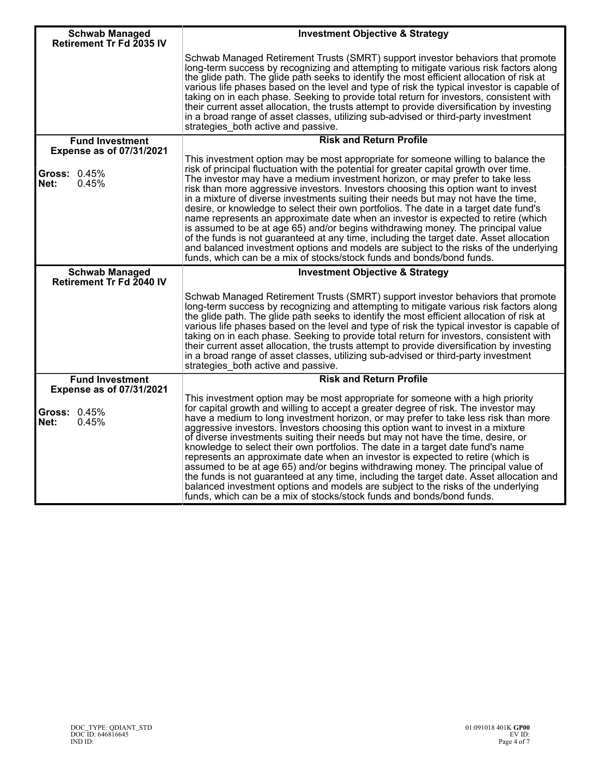| <b>Schwab Managed</b><br>Retirement Tr Fd 2035 IV                       | <b>Investment Objective &amp; Strategy</b>                                                                                                                                                                                                                                                                                                                                                                                                                                                                                                                                                                                                                                                                                                                                                                                                                                       |
|-------------------------------------------------------------------------|----------------------------------------------------------------------------------------------------------------------------------------------------------------------------------------------------------------------------------------------------------------------------------------------------------------------------------------------------------------------------------------------------------------------------------------------------------------------------------------------------------------------------------------------------------------------------------------------------------------------------------------------------------------------------------------------------------------------------------------------------------------------------------------------------------------------------------------------------------------------------------|
|                                                                         | Schwab Managed Retirement Trusts (SMRT) support investor behaviors that promote<br>long-term success by recognizing and attempting to mitigate various risk factors along<br>the glide path. The glide path seeks to identify the most efficient allocation of risk at<br>various life phases based on the level and type of risk the typical investor is capable of<br>taking on in each phase. Seeking to provide total return for investors, consistent with<br>their current asset allocation, the trusts attempt to provide diversification by investing<br>in a broad range of asset classes, utilizing sub-advised or third-party investment<br>strategies both active and passive.                                                                                                                                                                                       |
| <b>Fund Investment</b>                                                  | <b>Risk and Return Profile</b>                                                                                                                                                                                                                                                                                                                                                                                                                                                                                                                                                                                                                                                                                                                                                                                                                                                   |
| <b>Expense as of 07/31/2021</b><br><b>Gross: 0.45%</b><br>0.45%<br>Net: | This investment option may be most appropriate for someone willing to balance the<br>risk of principal fluctuation with the potential for greater capital growth over time.<br>The investor may have a medium investment horizon, or may prefer to take less<br>risk than more aggressive investors. Investors choosing this option want to invest<br>in a mixture of diverse investments suiting their needs but may not have the time,                                                                                                                                                                                                                                                                                                                                                                                                                                         |
|                                                                         | desire, or knowledge to select their own portfolios. The date in a target date fund's<br>name represents an approximate date when an investor is expected to retire (which<br>is assumed to be at age 65) and/or begins withdrawing money. The principal value<br>of the funds is not guaranteed at any time, including the target date. Asset allocation<br>and balanced investment options and models are subject to the risks of the underlying<br>funds, which can be a mix of stocks/stock funds and bonds/bond funds.                                                                                                                                                                                                                                                                                                                                                      |
| <b>Schwab Managed</b><br>Retirement Tr Fd 2040 IV                       | <b>Investment Objective &amp; Strategy</b>                                                                                                                                                                                                                                                                                                                                                                                                                                                                                                                                                                                                                                                                                                                                                                                                                                       |
|                                                                         | Schwab Managed Retirement Trusts (SMRT) support investor behaviors that promote<br>long-term success by recognizing and attempting to mitigate various risk factors along<br>the glide path. The glide path seeks to identify the most efficient allocation of risk at<br>various life phases based on the level and type of risk the typical investor is capable of<br>taking on in each phase. Seeking to provide total return for investors, consistent with<br>their current asset allocation, the trusts attempt to provide diversification by investing<br>in a broad range of asset classes, utilizing sub-advised or third-party investment<br>strategies_both active and passive.                                                                                                                                                                                       |
| <b>Fund Investment</b>                                                  | <b>Risk and Return Profile</b>                                                                                                                                                                                                                                                                                                                                                                                                                                                                                                                                                                                                                                                                                                                                                                                                                                                   |
| <b>Expense as of 07/31/2021</b><br>Gross: 0.45%<br>Net:<br>0.45%        | This investment option may be most appropriate for someone with a high priority<br>for capital growth and willing to accept a greater degree of risk. The investor may<br>have a medium to long investment horizon, or may prefer to take less risk than more<br>aggressive investors. Investors choosing this option want to invest in a mixture<br>of diverse investments suiting their needs but may not have the time, desire, or<br>knowledge to select their own portfolios. The date in a target date fund's name<br>represents an approximate date when an investor is expected to retire (which is<br>assumed to be at age 65) and/or begins withdrawing money. The principal value of<br>the funds is not guaranteed at any time, including the target date. Asset allocation and<br>balanced investment options and models are subject to the risks of the underlying |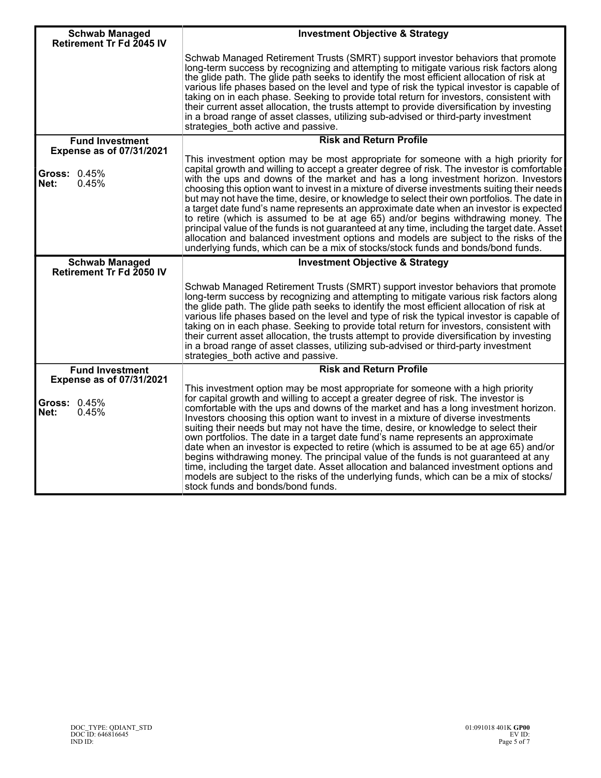| <b>Schwab Managed</b>                                                   | <b>Investment Objective &amp; Strategy</b>                                                                                                                                                                                                                                                                                                                                                                                                                                                                                                                                                                                                                                                                                                                                                                                                                                                                                          |
|-------------------------------------------------------------------------|-------------------------------------------------------------------------------------------------------------------------------------------------------------------------------------------------------------------------------------------------------------------------------------------------------------------------------------------------------------------------------------------------------------------------------------------------------------------------------------------------------------------------------------------------------------------------------------------------------------------------------------------------------------------------------------------------------------------------------------------------------------------------------------------------------------------------------------------------------------------------------------------------------------------------------------|
| Retirement Tr Fd 2045 IV                                                | Schwab Managed Retirement Trusts (SMRT) support investor behaviors that promote<br>long-term success by recognizing and attempting to mitigate various risk factors along<br>the glide path. The glide path seeks to identify the most efficient allocation of risk at<br>various life phases based on the level and type of risk the typical investor is capable of<br>taking on in each phase. Seeking to provide total return for investors, consistent with<br>their current asset allocation, the trusts attempt to provide diversification by investing<br>in a broad range of asset classes, utilizing sub-advised or third-party investment<br>strategies both active and passive.                                                                                                                                                                                                                                          |
| <b>Fund Investment</b>                                                  | <b>Risk and Return Profile</b>                                                                                                                                                                                                                                                                                                                                                                                                                                                                                                                                                                                                                                                                                                                                                                                                                                                                                                      |
| <b>Expense as of 07/31/2021</b><br><b>Gross: 0.45%</b><br>0.45%<br>Net: | This investment option may be most appropriate for someone with a high priority for<br>capital growth and willing to accept a greater degree of risk. The investor is comfortable<br>with the ups and downs of the market and has a long investment horizon. Investors<br>choosing this option want to invest in a mixture of diverse investments suiting their needs<br>but may not have the time, desire, or knowledge to select their own portfolios. The date in<br>a target date fund's name represents an approximate date when an investor is expected<br>to retire (which is assumed to be at age 65) and/or begins withdrawing money. The<br>principal value of the funds is not guaranteed at any time, including the target date. Asset<br>allocation and balanced investment options and models are subject to the risks of the<br>underlying funds, which can be a mix of stocks/stock funds and bonds/bond funds.     |
| <b>Schwab Managed</b><br><b>Retirement Tr Fd 2050 IV</b>                | <b>Investment Objective &amp; Strategy</b>                                                                                                                                                                                                                                                                                                                                                                                                                                                                                                                                                                                                                                                                                                                                                                                                                                                                                          |
|                                                                         | Schwab Managed Retirement Trusts (SMRT) support investor behaviors that promote<br>long-term success by recognizing and attempting to mitigate various risk factors along<br>the glide path. The glide path seeks to identify the most efficient allocation of risk at<br>various life phases based on the level and type of risk the typical investor is capable of<br>taking on in each phase. Seeking to provide total return for investors, consistent with<br>their current asset allocation, the trusts attempt to provide diversification by investing<br>in a broad range of asset classes, utilizing sub-advised or third-party investment<br>strategies both active and passive.                                                                                                                                                                                                                                          |
| <b>Fund Investment</b>                                                  | <b>Risk and Return Profile</b>                                                                                                                                                                                                                                                                                                                                                                                                                                                                                                                                                                                                                                                                                                                                                                                                                                                                                                      |
| <b>Expense as of 07/31/2021</b><br><b>Gross: 0.45%</b><br>Net:<br>0.45% | This investment option may be most appropriate for someone with a high priority<br>for capital growth and willing to accept a greater degree of risk. The investor is<br>comfortable with the ups and downs of the market and has a long investment horizon.<br>Investors choosing this option want to invest in a mixture of diverse investments<br>suiting their needs but may not have the time, desire, or knowledge to select their<br>own portfolios. The date in a target date fund's name represents an approximate<br>date when an investor is expected to retire (which is assumed to be at age 65) and/or<br>begins withdrawing money. The principal value of the funds is not guaranteed at any<br>time, including the target date. Asset allocation and balanced investment options and<br>models are subject to the risks of the underlying funds, which can be a mix of stocks/<br>stock funds and bonds/bond funds. |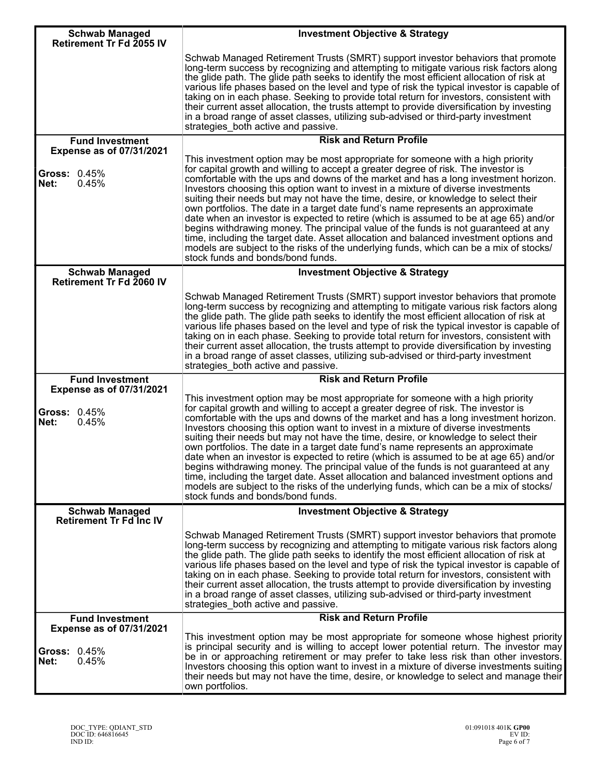| <b>Schwab Managed</b><br>Retirement Tr Fd 2055 IV         | <b>Investment Objective &amp; Strategy</b>                                                                                                                                                                                                                                                                                                                                                                                                                                                                                                                                                                                                                                                                                                                                                                                                                                                                                          |
|-----------------------------------------------------------|-------------------------------------------------------------------------------------------------------------------------------------------------------------------------------------------------------------------------------------------------------------------------------------------------------------------------------------------------------------------------------------------------------------------------------------------------------------------------------------------------------------------------------------------------------------------------------------------------------------------------------------------------------------------------------------------------------------------------------------------------------------------------------------------------------------------------------------------------------------------------------------------------------------------------------------|
|                                                           | Schwab Managed Retirement Trusts (SMRT) support investor behaviors that promote<br>long-term success by recognizing and attempting to mitigate various risk factors along<br>the glide path. The glide path seeks to identify the most efficient allocation of risk at<br>various life phases based on the level and type of risk the typical investor is capable of<br>taking on in each phase. Seeking to provide total return for investors, consistent with<br>their current asset allocation, the trusts attempt to provide diversification by investing<br>in a broad range of asset classes, utilizing sub-advised or third-party investment<br>strategies_both active and passive.                                                                                                                                                                                                                                          |
| <b>Fund Investment</b><br><b>Expense as of 07/31/2021</b> | <b>Risk and Return Profile</b>                                                                                                                                                                                                                                                                                                                                                                                                                                                                                                                                                                                                                                                                                                                                                                                                                                                                                                      |
| <b>Gross: 0.45%</b><br>Net:<br>0.45%                      | This investment option may be most appropriate for someone with a high priority<br>for capital growth and willing to accept a greater degree of risk. The investor is<br>comfortable with the ups and downs of the market and has a long investment horizon.<br>Investors choosing this option want to invest in a mixture of diverse investments<br>suiting their needs but may not have the time, desire, or knowledge to select their<br>own portfolios. The date in a target date fund's name represents an approximate<br>date when an investor is expected to retire (which is assumed to be at age 65) and/or<br>begins withdrawing money. The principal value of the funds is not guaranteed at any<br>time, including the target date. Asset allocation and balanced investment options and<br>models are subject to the risks of the underlying funds, which can be a mix of stocks/<br>stock funds and bonds/bond funds. |
| <b>Schwab Managed</b><br>Retirement Tr Fd 2060 IV         | <b>Investment Objective &amp; Strategy</b>                                                                                                                                                                                                                                                                                                                                                                                                                                                                                                                                                                                                                                                                                                                                                                                                                                                                                          |
|                                                           | Schwab Managed Retirement Trusts (SMRT) support investor behaviors that promote<br>long-term success by recognizing and attempting to mitigate various risk factors along<br>the glide path. The glide path seeks to identify the most efficient allocation of risk at<br>various life phases based on the level and type of risk the typical investor is capable of<br>taking on in each phase. Seeking to provide total return for investors, consistent with<br>their current asset allocation, the trusts attempt to provide diversification by investing<br>in a broad range of asset classes, utilizing sub-advised or third-party investment<br>strategies_both active and passive.                                                                                                                                                                                                                                          |
| <b>Fund Investment</b><br><b>Expense as of 07/31/2021</b> | <b>Risk and Return Profile</b>                                                                                                                                                                                                                                                                                                                                                                                                                                                                                                                                                                                                                                                                                                                                                                                                                                                                                                      |
| <b>Gross: 0.45%</b><br>Net:<br>0.45%                      | This investment option may be most appropriate for someone with a high priority<br>for capital growth and willing to accept a greater degree of risk. The investor is<br>comfortable with the ups and downs of the market and has a long investment horizon.<br>Investors choosing this option want to invest in a mixture of diverse investments<br>suiting their needs but may not have the time, desire, or knowledge to select their<br>own portfolios. The date in a target date fund's name represents an approximate<br>date when an investor is expected to retire (which is assumed to be at age 65) and/or<br>begins withdrawing money. The principal value of the funds is not guaranteed at any<br>time, including the target date. Asset allocation and balanced investment options and<br>models are subject to the risks of the underlying funds, which can be a mix of stocks/<br>stock funds and bonds/bond funds. |
| <b>Schwab Managed</b><br>Retirement Tr Fd Inc IV          | <b>Investment Objective &amp; Strategy</b>                                                                                                                                                                                                                                                                                                                                                                                                                                                                                                                                                                                                                                                                                                                                                                                                                                                                                          |
|                                                           | Schwab Managed Retirement Trusts (SMRT) support investor behaviors that promote<br>long-term success by recognizing and attempting to mitigate various risk factors along<br>the glide path. The glide path seeks to identify the most efficient allocation of risk at<br>various life phases based on the level and type of risk the typical investor is capable of<br>taking on in each phase. Seeking to provide total return for investors, consistent with<br>their current asset allocation, the trusts attempt to provide diversification by investing<br>in a broad range of asset classes, utilizing sub-advised or third-party investment<br>strategies_both active and passive.                                                                                                                                                                                                                                          |
| <b>Fund Investment</b><br><b>Expense as of 07/31/2021</b> | <b>Risk and Return Profile</b>                                                                                                                                                                                                                                                                                                                                                                                                                                                                                                                                                                                                                                                                                                                                                                                                                                                                                                      |
| <b>Gross: 0.45%</b><br>Net:<br>0.45%                      | This investment option may be most appropriate for someone whose highest priority<br>is principal security and is willing to accept lower potential return. The investor may<br>be in or approaching retirement or may prefer to take less risk than other investors.<br>Investors choosing this option want to invest in a mixture of diverse investments suiting<br>their needs but may not have the time, desire, or knowledge to select and manage their<br>own portfolios.                                                                                                                                                                                                                                                                                                                                                                                                                                                     |